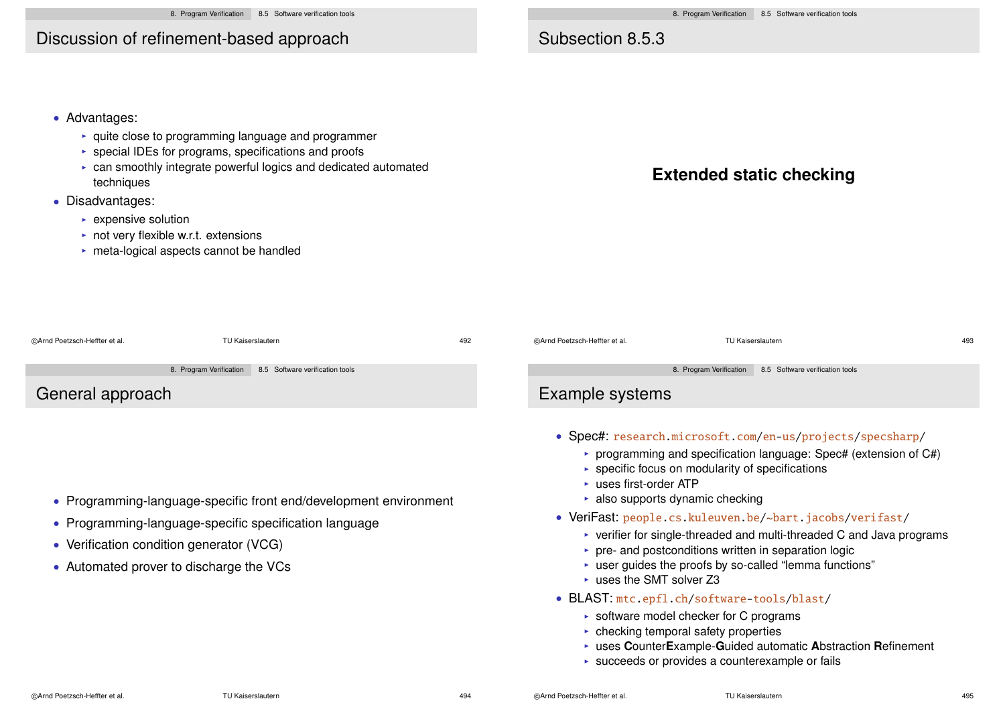# Discussion of refinement-based approach

## Subsection 8.5.3

• Advantages:

- $\blacktriangleright$  quite close to programming language and programmer
- $\triangleright$  special IDEs for programs, specifications and proofs
- $\triangleright$  can smoothly integrate powerful logics and dedicated automated techniques
- Disadvantages:
	- $\triangleright$  expensive solution
	- $\triangleright$  not very flexible w.r.t. extensions
	- $\triangleright$  meta-logical aspects cannot be handled



| @Arnd Poetzsch-Heffter et al.                                                                                                                                                                                      | <b>TU Kaiserslautern</b> | 492 | @Arnd Poetzsch-Heffter et al.                                                                                                                                                                                                                                                                                                                                                                                                                                                                                                                                                                                                                                                                                                                                                                                                                    | <b>TU Kaiserslautern</b> | 493 |  |  |
|--------------------------------------------------------------------------------------------------------------------------------------------------------------------------------------------------------------------|--------------------------|-----|--------------------------------------------------------------------------------------------------------------------------------------------------------------------------------------------------------------------------------------------------------------------------------------------------------------------------------------------------------------------------------------------------------------------------------------------------------------------------------------------------------------------------------------------------------------------------------------------------------------------------------------------------------------------------------------------------------------------------------------------------------------------------------------------------------------------------------------------------|--------------------------|-----|--|--|
| 8.5 Software verification tools<br>8. Program Verification<br>General approach                                                                                                                                     |                          |     | 8. Program Verification<br>8.5 Software verification tools<br>Example systems                                                                                                                                                                                                                                                                                                                                                                                                                                                                                                                                                                                                                                                                                                                                                                    |                          |     |  |  |
| • Programming-language-specific front end/development environment<br>• Programming-language-specific specification language<br>• Verification condition generator (VCG)<br>• Automated prover to discharge the VCs |                          |     | • Spec#: research.microsoft.com/en-us/projects/specsharp/<br>programming and specification language: Spec# (extension of $C#$ )<br>$\triangleright$ specific focus on modularity of specifications<br>$\triangleright$ uses first-order ATP<br>$\triangleright$ also supports dynamic checking<br>• VeriFast: people.cs.kuleuven.be/~bart.jacobs/verifast/<br>$\triangleright$ verifier for single-threaded and multi-threaded C and Java programs<br>► pre- and postconditions written in separation logic<br>► user guides the proofs by so-called "lemma functions"<br>$\triangleright$ uses the SMT solver Z3<br>• BLAST: mtc.epfl.ch/software-tools/blast/<br>$\triangleright$ software model checker for C programs<br>$\triangleright$ checking temporal safety properties<br>uses CounterExample-Guided automatic Abstraction Refinement |                          |     |  |  |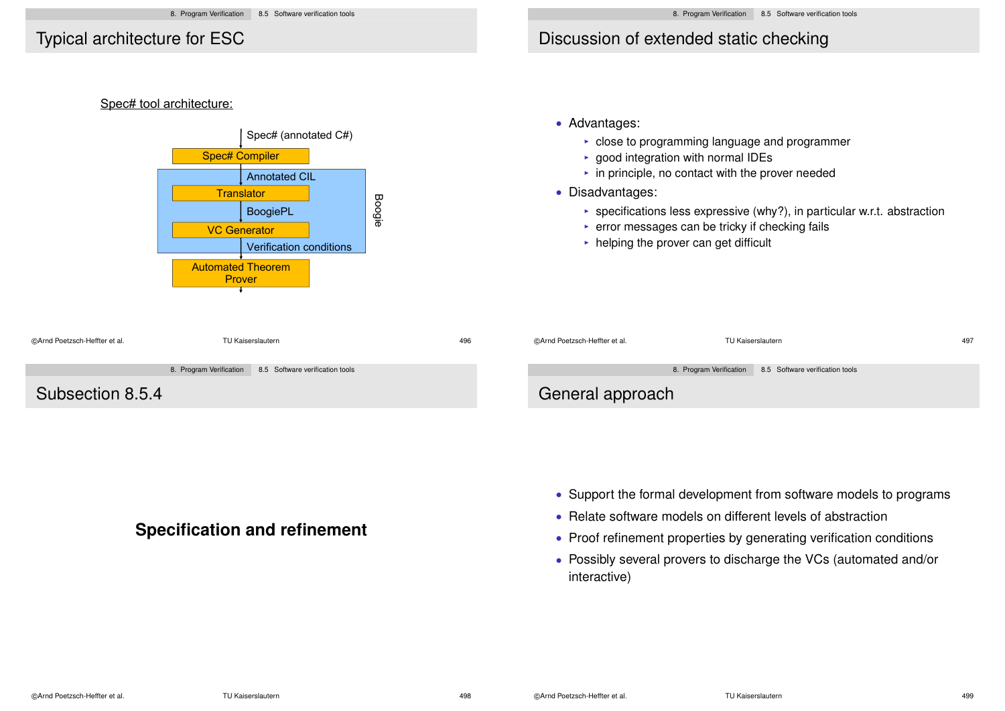### Typical architecture for ESC

## Discussion of extended static checking

#### Spec# tool architecture:



#### • Advantages:

- $\triangleright$  close to programming language and programmer
- $\rightarrow$  good integration with normal IDEs
- $\cdot$  in principle, no contact with the prover needed
- Disadvantages:
	- **>** specifications less expressive (why?), in particular w.r.t. abstraction
	- $\triangleright$  error messages can be tricky if checking fails
	- $\triangleright$  helping the prover can get difficult

| ©Arnd Poetzsch-Heffter et al. | TU Kaiserslautern |                                                         | 496 | @Arnd Poetzsch-Heffter et al. | TU Kaiserslautern                                       | 497 |
|-------------------------------|-------------------|---------------------------------------------------------|-----|-------------------------------|---------------------------------------------------------|-----|
|                               |                   | 8. Program Verification 8.5 Software verification tools |     |                               | 8. Program Verification 8.5 Software verification tools |     |
| Subsection 8.5.4              |                   |                                                         |     | General approach              |                                                         |     |

### **Specification and refinement**

- Support the formal development from software models to programs
- Relate software models on different levels of abstraction
- Proof refinement properties by generating verification conditions
- Possibly several provers to discharge the VCs (automated and/or interactive)